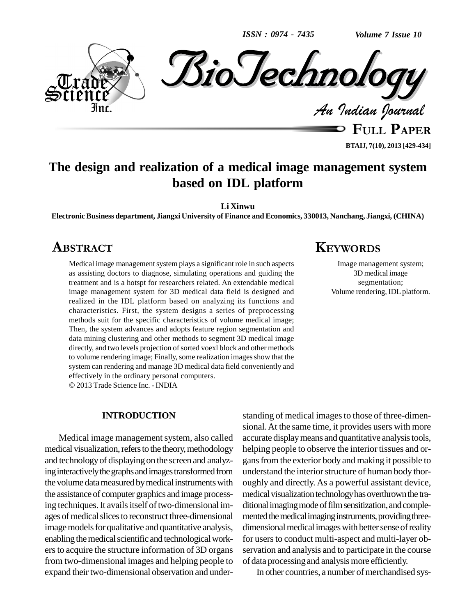*ISSN : 0974 - 7435*

*Volume 7 Issue 10*



**BTAIJ, 7(10), 2013 [429-434]**

# **The design and realization of a medical image management system based on IDL platform**

**Li Xinwu**

**Electronic Business department, Jiangxi University of Finance and Economics, 330013, Nanchang, Jiangxi, (CHINA) ABSTRACTKEYWORDS**

# **ABSTRACT**

Medical image management system plays a significant role in such aspects as assisting doctors to diagnose, simulating operations and guiding the treatment and is a hotspt for researchers related. An extendable medical image management system for 3D medical data field is designed and realized in the IDL platform based on analyzing its functions and characteristics. First, the system designs a series of preprocessing methods suit for the specific characteristics of volume medical image; Then, the system advances and adopts feature region segmentation and data mining clustering and other methods to segment 3D medical image directly, and two levels projection of sorted voexl block and other methods to volume rendering image; Finally, some realization images show that the system can rendering and manage 3D medical data field conveniently and effectively in the ordinary personal computers.

2013 Trade Science Inc. - INDIA

#### **INTRODUCTION**

Medical image management system, also called medical visualization, refers to the theory, methodology and technologyof displaying on the screen and analyzing interactively the graphs and images transformed from the volume data measured by medical instruments with the assistance of computer graphics and image processing techniques. It avails itself of two-dimensional images of medical slices to reconstruct three-dimensional image models for qualitative and quantitative analysis, enabling the medical scientific and technological workers to acquire the structure information of 3D organs from two-dimensional images and helping people to expand their two-dimensional observation and understanding of medical images to those of three-dimensional.At the same time, it provides users with more accurate displaymeans and quantitative analysistools, helping people to observe the interior tissues and or gansfrom the exterior body and making it possible to understand the interior structure of human body thoroughly and directly. As a powerful assistant device, medical visualization technology has overthrown the traditional imaging mode of film sensitization, and complemented the medical imaging instruments, providing threedimensional medical images with better sense of reality for users to conduct multi-aspect and multi-layer observation and analysis and to participate in the course of data processingand analysismore efficiently.

In other countries, a number of merchandised sys-

# **KEYWORDS**

Image management system; 3D medical image segmentation; Volume rendering, IDL platform.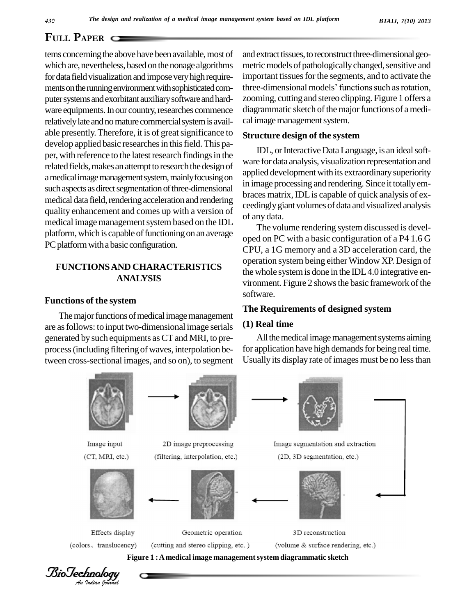tems concerning the above have been available, most of which are, nevertheless, based on the nonage algorithms for data field visualization and impose very high requireputer systems and exorbitant auxiliary software and hardware equipments. In our country, researches commence relatively late and no mature commercial system is available presently. Therefore, it is of great significance to develop applied basic researches in this field. This paper, with reference to the latest research findings in the related fields, makes an attempt to research the design of amedicalimagemanagementsystem,mainlyfocusingon such aspects as direct segmentation of three-dimensional medical data field, rendering acceleration and rendering quality enhancement and comes up with a version of medical image management system based on the IDL platform, which is capable of functioning on an average PC platform with a basic configuration.

# **FUNCTIONSAND CHARACTERISTICS ANALYSIS**

#### **Functions of the system**

The major functions of medical image management are asfollows: to input two-dimensional image serials generated by such equipments as CT and MRI, to preprocess(including filteringof waves, interpolation between cross-sectional images, and so on), to segment

ments on the running environment with sophisticated com-<br>three-dimensional models' functions such as rotation, and extract tissues, to reconstruct three-dimensional geometric models of pathologically changed, sensitive and<br>important tissues for the segments, and to activate the<br>three-dimensional models' functions such as rotation, important tissues for the segments, and to activate the zooming, cutting and stereo clipping. Figure 1 offers a diagrammatic sketch of the major functions of a medical image management system.

#### **Structure design of the system**

IDL, or Interactive Data Language, is an ideal software for data analysis, visualization representation and applied development with its extraordinarysuperiority in image processing and rendering. Since it totallyem braces matrix,IDLis capable of quick analysis of ex ceedinglygiantvolumes of data and visualized analysis of any data.

The volume rendering system discussed is developed on PC with a basic configuration of a P4 1.6 G CPU, a 1G memory and a 3D acceleration card, the operation system being eitherWindow XP. Design of the whole system is done in the IDL 4.0 integrative environment. Figure 2 shows the basic framework of the software.

## **The Requirements of designed system**

## **(1) Real time**

All the medical image management systems aiming for application have high demands for being real time. Usually its display rate of images must be no less than



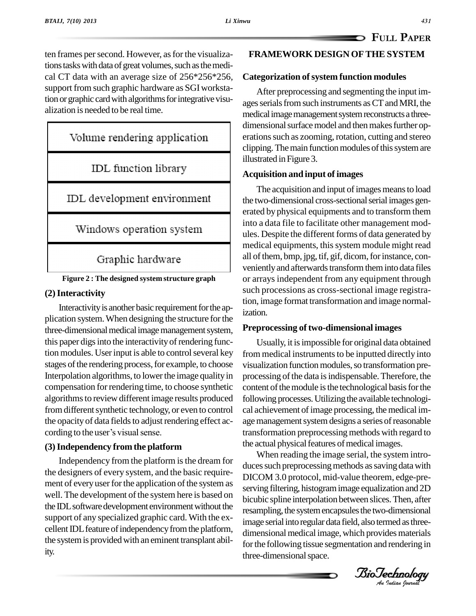ten frames per second. However, as for the visualizations tasks with data of great volumes, such as the medical CT data with an average size of 256\*256\*256, support from such graphic hardware as SGI workstation or graphic card with algorithms for integrative visualization is needed to be real time.

# Volume rendering application

IDL function library

IDL development environment

Windows operation system

Graphic hardware

**Figure 2 : The designed system structure graph**

## **(2)Interactivity**

Interactivity is another basic requirement for the application system.When designing the structure forthe three-dimensional medical image management system, this paper digs into the interactivity of rendering function modules. User input is able to control several key stages of the rendering process, for example, to choose Interpolation algorithms, to lower the image quality in compensation for rendering time, to choose synthetic algorithms to review different image results produced from different synthetic technology, or even to control cal<br>the opacity of data fields to adjust rendering effect ac-<br>cording to the user's visual sense. tra the opacity of data fields to adjust rendering effect ac-

## **(3)Independency from the platform**

Independency from the platform is the dream for the designers of every system, and the basic require ment of every user for the application of the system as well. The development of the system here is based on the IDL software development environment without the support of any specialized graphic card. With the excellent IDL feature of independency from the platform, the system is provided with an eminent transplant ability.

# **FRAMEWORK DESIGN OFTHE SYSTEM**

## **Categorization ofsystem function modules**

After preprocessing and segmenting the input im ages serials from such instruments as CT and MRI, the medical image management system reconstructs a threedimensional surface model and then makes further operations such as zooming, rotation, cutting and stereo clipping. The main function modules of this system are illustrated in Figure 3.

## **Acquisition and input of images**

The acquisition and input of images means to load the two-dimensional cross-sectional serial images generated by physical equipments and to transform them into a data file to facilitate other management mod ules. Despite the different forms of data generated by medical equipments, this system module might read all of them, bmp, jpg, tif, gif, dicom, for instance, conveniently and afterwards transform them into data files or arrays independent from any equipment through such processions as cross-sectional image registration, image format transformation and image normalization.

#### **Preprocessing of two-dimensional images**

Usually, it isimpossible for original data obtained from medical instruments to be inputted directly into visualization function modules, so transformation preprocessing of the data is indispensable. Therefore, the content of the module is the technological basis for the following processes. Utilizing the available technological achievement of image processing, the medical image management system designs a series of reasonable transformation preprocessing methods with regard to the actual physical features of medical images.

BioOM 3.6 protocol, the value disording equalization and 2D *Analysis and into regular data field, also termed as three-*When reading the image serial, the system intro duces such preprocessing methods as saving data with DICOM 3.0 protocol, mid-value theorem, edge-pre bicubic spline interpolation between slices.Then, after resampling, the system encapsules the two-dimensional dimensional medical image, which provides materials for the following tissue segmentation and rendering in three-dimensional space.

*Indian Journal*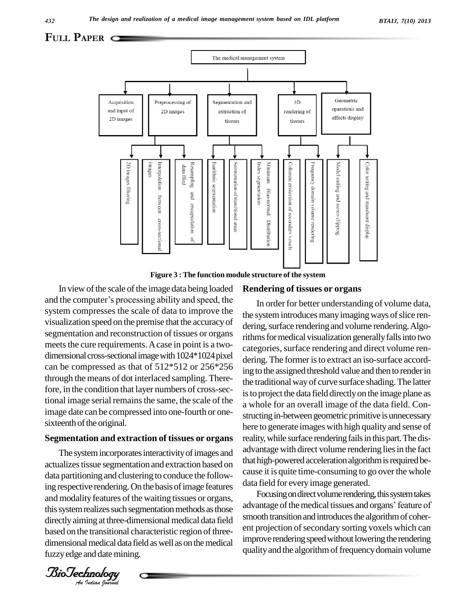

**Figure 3 : The function module structure of the system**

In view of the scale of the image data being loaded and the computer's processing ability and speed, the system compresses the scale of data to improve the visualization speed on the premise that the accuracyof segmentation and reconstruction of tissues or organs meets the cure requirements. A case in point is a twodimensional cross-sectional image with  $1024*1024$  pixel can be compressed as that of 512\*512 or 256\*256 through the means of dot interlaced sampling. Therefore, in the condition that layer numbers of cross-sectional image serial remains the same, the scale of the image date can be compressed into one-fourth or one sixteenth of the original.

#### **Segmentation and extraction of tissues or organs**

Biotechnology Biotechnology Biotechnology Pressure of the Lease Respective rendering. On the basis of image features directly aiming at three-dimensional medical data field smooth The system incorporates interactivity of images and actualizes tissue segmentation and extraction based on data partitioning and clustering to conduce the followand modality features of the waiting tissues or organs, this system realizes such segmentation methods as those based on the transitional characteristic region of threedimensional medical data field as well as on the medical fuzzy edge and date mining.

#### **Rendering of tissues or organs**

In order for better understanding of volume data, the system introduces many imaging ways of slice rendering, surface rendering and volume rendering. Algorithms for medical visualization generally falls into two categories, surface rendering and direct volume rendering. The former is to extract an iso-surface according to the assigned threshold value and then to render in the traditional way of curve surface shading. The latter isto project the data field directlyon the image plane as a whole for an overall image of the data field. Con structing in-between geometric primitive is unnecessary here to generate images with high quality and sense of reality, while surface rendering fails in this part. The disadvantage with direct volume rendering liesin the fact that high-powered acceleration algorithm is required because it is quite time-consuming to go over the whole data field for every image generated.

Focusing on direct volume rendering, this system takes advantage of the medical tissues and organs' feature of smooth transition and introduces the algorithm of coherent projection of secondary sorting voxels which can improve rendering speed without lowering the rendering quality and the algorithm of frequency domain volume

*Indian Journal*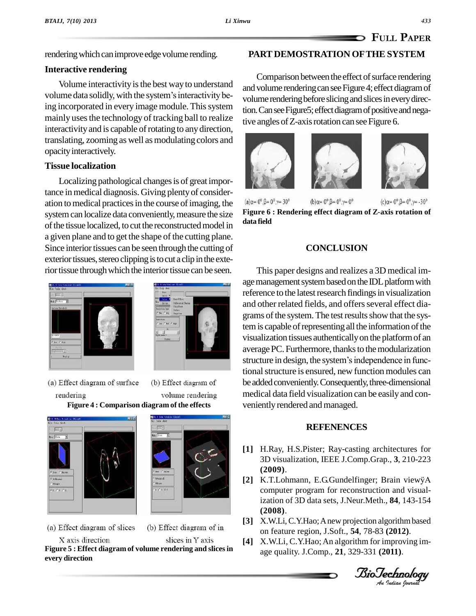rendering which can improve edge volume rending.

## **Interactive rendering**

Volume interactivity is the best way to understand volume data solidly, with the system's interactivity being incorporated in every image module. This system mainly uses the technology of tracking ball to realize interactivity and is capable of rotating to any direction, translating, zooming as well asmodulating colors and opacity interactively.

# **Tissue localization**

Localizing pathological changes is of great importance in medical diagnosis. Giving plenty of consider-<br>ation to medical practices in the course of imaging the  $(a)$  $a = 0^\circ, \beta = 0^\circ, \gamma = 30^\circ$ ation to medical practices in the course of imaging, the system can localize data conveniently, measure the size of the tissue localized, to cut the reconstructed model in a given plane and to get the shape of the cutting plane. Since interior tissues can be seen through the cutting of exterior tissues, stereo clipping is to cut a clip in the exterior tissue through which the interior tissue can be seen.





volume rendering

(a) Effect diagram of surface (b) Effect diagram of rendering **Figure 4 : Comparison diagram of the effects**



(a) Effect diagram of slices



X axis direction slices in Y axis **Figure 5 : Effect diagram of volume rendering and slicesin every direction**

# **PART DEMOSTRATION OFTHE SYSTEM**

Comparison between the effect of surface rendering and volume rendering can see Figure 4; effect diagram of volume rendering before slicing and slices in every direction. Can see Figure5; effect diagram of positive and negative angles of Z-axis rotation can see Figure 6.







(b) α=  $0^{\circ}$ , β=  $0^{\circ}$ , γ=  $0^{\circ}$  $(c)\alpha = 0^{\circ}, \beta = 0^{\circ}, \gamma = -30^{\circ}$ **Figure 6 : Rendering effect diagram of Z-axis rotation of data field**

# **CONCLUSION**

This paper designs and realizes a 3D medicalim age management system based on the IDL platform with reference to the latest research findings in visualization and other related fields, and offers several effect diagrams of the system. The test results show that the system is capable of representing all the information of the visualization tissues authenticallyon the platformof an average PC. Furthermore, thanks to the modularization visualization tissues authentically on the platform of an<br>average PC. Furthermore, thanks to the modularization<br>structure in design, the system's independence in functional structure is ensured, new function modules can be added conveniently. Consequently, three-dimensional medical data field visualization can be easily and con veniently rendered and managed.

# **REFENENCES**

- **[1]** H.Ray, H.S.Pister; Ray-casting architectures for 3D visualization, IEEE J.Comp.Grap., **3**, 210-223<br> **[2]** K.T.Lohmann, E.G.Gundelfinger; Brain viewÿA **(2009)**.
- K.1. Lonmann, E.G. Gundelfinger; Brain viewyA<br>computer program for reconstruction and visualization of 3D data sets, J.Neur.Meth., **84**, 143-154 **(2008)**.
- *An***[3]** X.W.Li,C.Y.Hao;Anew projection algorithmbased on feature region, J.Soft., **54**, 78-83 **(2012)**.
- **[4]** X.W.Li, C.Y.Hao; An algorithm for improving im age quality. J.Comp., **21**, 329-331 **(2011)**.

*Indian Journal*